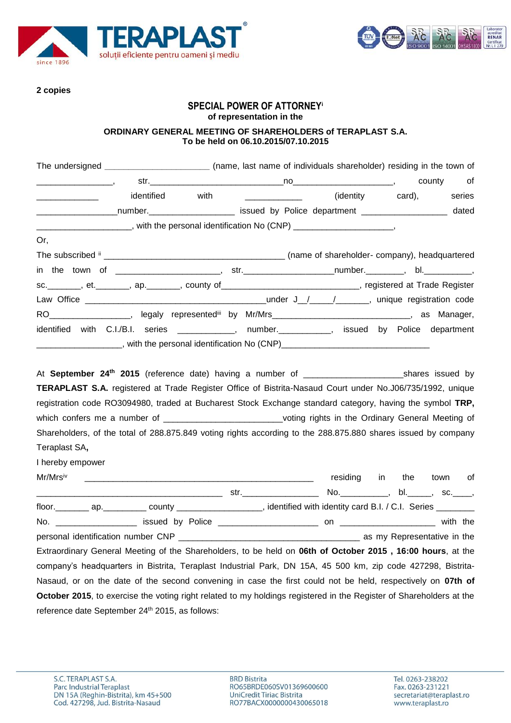



**2 copies**

# **SPECIAL POWER OF ATTORNEY<sup>i</sup> of representation in the**

### **ORDINARY GENERAL MEETING OF SHAREHOLDERS of TERAPLAST S.A. To be held on 06.10.2015/07.10.2015**

| The undersigned ____________________________ (name, last name of individuals shareholder) residing in the town of                                                                                                                                                                                                                                                             |            |      |                  |             |           |        |
|-------------------------------------------------------------------------------------------------------------------------------------------------------------------------------------------------------------------------------------------------------------------------------------------------------------------------------------------------------------------------------|------------|------|------------------|-------------|-----------|--------|
|                                                                                                                                                                                                                                                                                                                                                                               |            |      |                  |             | county of |        |
|                                                                                                                                                                                                                                                                                                                                                                               | identified | with | (identity card), |             |           | series |
| ___________________number._______________________ issued by Police department ___________________ dated                                                                                                                                                                                                                                                                       |            |      |                  |             |           |        |
| ________________________, with the personal identification No (CNP) _______________________,                                                                                                                                                                                                                                                                                  |            |      |                  |             |           |        |
| Or,                                                                                                                                                                                                                                                                                                                                                                           |            |      |                  |             |           |        |
|                                                                                                                                                                                                                                                                                                                                                                               |            |      |                  |             |           |        |
|                                                                                                                                                                                                                                                                                                                                                                               |            |      |                  |             |           |        |
| sc. _______, et. _______, ap. _______, county of _____________________________, registered at Trade Register                                                                                                                                                                                                                                                                  |            |      |                  |             |           |        |
|                                                                                                                                                                                                                                                                                                                                                                               |            |      |                  |             |           |        |
| RO___________________, legaly represented <sup>iii</sup> by Mr/Mrs_______________________________, as Manager,                                                                                                                                                                                                                                                                |            |      |                  |             |           |        |
| identified with C.I./B.I. series ____________, number.__________, issued by Police department                                                                                                                                                                                                                                                                                 |            |      |                  |             |           |        |
|                                                                                                                                                                                                                                                                                                                                                                               |            |      |                  |             |           |        |
| registration code RO3094980, traded at Bucharest Stock Exchange standard category, having the symbol TRP,<br>which confers me a number of _____________________________voting rights in the Ordinary General Meeting of<br>Shareholders, of the total of 288.875.849 voting rights according to the 288.875.880 shares issued by company<br>Teraplast SA,<br>I hereby empower |            |      |                  |             |           |        |
|                                                                                                                                                                                                                                                                                                                                                                               |            |      | residing in      | the town of |           |        |
|                                                                                                                                                                                                                                                                                                                                                                               |            |      |                  |             |           |        |
| floor. __________ ap.____________ county _____________________, identified with identity card B.I. / C.I. Series ________                                                                                                                                                                                                                                                     |            |      |                  |             |           |        |
|                                                                                                                                                                                                                                                                                                                                                                               |            |      |                  |             |           |        |
|                                                                                                                                                                                                                                                                                                                                                                               |            |      |                  |             |           |        |
| Extraordinary General Meeting of the Shareholders, to be held on 06th of October 2015, 16:00 hours, at the                                                                                                                                                                                                                                                                    |            |      |                  |             |           |        |
| company's headquarters in Bistrita, Teraplast Industrial Park, DN 15A, 45 500 km, zip code 427298, Bistrita-                                                                                                                                                                                                                                                                  |            |      |                  |             |           |        |
| Nasaud, or on the date of the second convening in case the first could not be held, respectively on <b>07th of</b>                                                                                                                                                                                                                                                            |            |      |                  |             |           |        |
| <b>October 2015</b> , to exercise the voting right related to my holdings registered in the Register of Shareholders at the                                                                                                                                                                                                                                                   |            |      |                  |             |           |        |
| reference date September 24 <sup>th</sup> 2015, as follows:                                                                                                                                                                                                                                                                                                                   |            |      |                  |             |           |        |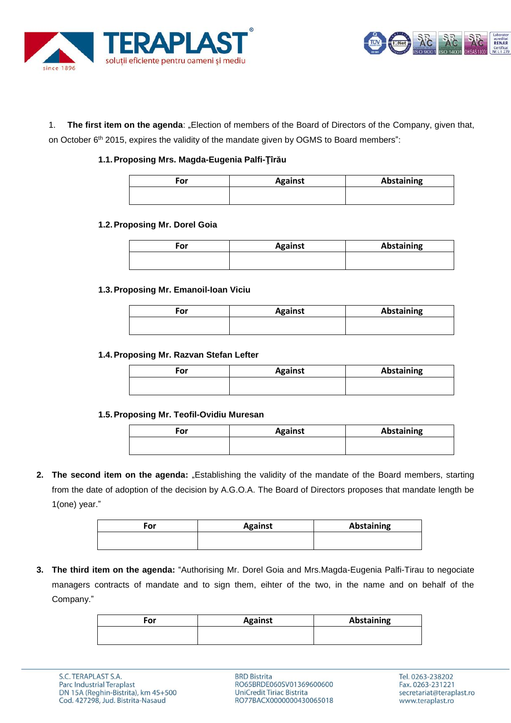



1. **The first item on the agenda**: "Election of members of the Board of Directors of the Company, given that, on October 6<sup>th</sup> 2015, expires the validity of the mandate given by OGMS to Board members":

# **1.1.Proposing Mrs. Magda-Eugenia Palfi-Ţîrău**

| For | <b>Against</b> | Abstaining |
|-----|----------------|------------|
|     |                |            |

### **1.2.Proposing Mr. Dorel Goia**

| For | <b>Against</b> | Abstaining |
|-----|----------------|------------|
|     |                |            |

### **1.3.Proposing Mr. Emanoil-Ioan Viciu**

| For | <b>Against</b> | <b>Abstaining</b> |
|-----|----------------|-------------------|
|     |                |                   |

#### **1.4.Proposing Mr. Razvan Stefan Lefter**

| For | <b>Against</b> | <b>Abstaining</b> |
|-----|----------------|-------------------|
|     |                |                   |

### **1.5.Proposing Mr. Teofil-Ovidiu Muresan**

| For | <b>Against</b> | <b>Abstaining</b> |
|-----|----------------|-------------------|
|     |                |                   |

**2. The second item on the agenda:** "Establishing the validity of the mandate of the Board members, starting from the date of adoption of the decision by A.G.O.A. The Board of Directors proposes that mandate length be 1(one) year."

| For | <b>Against</b> | Abstaining |
|-----|----------------|------------|
|     |                |            |

**3. The third item on the agenda:** "Authorising Mr. Dorel Goia and Mrs.Magda-Eugenia Palfi-Tirau to negociate managers contracts of mandate and to sign them, eihter of the two, in the name and on behalf of the Company."

| <b>Against</b> | Abstaining |
|----------------|------------|
|                |            |
|                |            |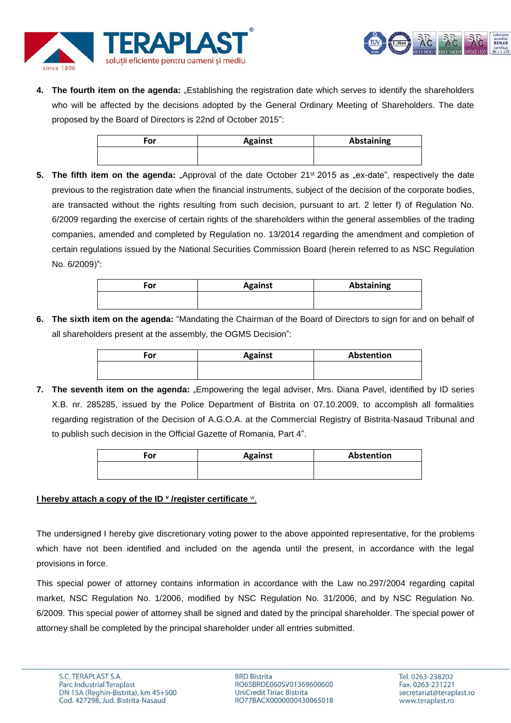



**4. The fourth item on the agenda:** "Establishing the registration date which serves to identify the shareholders who will be affected by the decisions adopted by the General Ordinary Meeting of Shareholders. The date proposed by the Board of Directors is 22nd of October 2015":

| For | <b>Against</b> | Abstaining |
|-----|----------------|------------|
|     |                |            |

**5.** The fifth item on the agenda: "Approval of the date October 21<sup>st</sup> 2015 as "ex-date", respectively the date previous to the registration date when the financial instruments, subject of the decision of the corporate bodies, are transacted without the rights resulting from such decision, pursuant to art. 2 letter f) of Regulation No. 6/2009 regarding the exercise of certain rights of the shareholders within the general assemblies of the trading companies, amended and completed by Regulation no. 13/2014 regarding the amendment and completion of certain regulations issued by the National Securities Commission Board (herein referred to as NSC Regulation No. 6/2009)":

| Ξor | <b>Against</b> | Abstaining |
|-----|----------------|------------|
|     |                |            |

**6. The sixth item on the agenda:** "Mandating the Chairman of the Board of Directors to sign for and on behalf of all shareholders present at the assembly, the OGMS Decision":

| For | <b>Against</b> | Abstention |
|-----|----------------|------------|
|     |                |            |

**7. The seventh item on the agenda:** "Empowering the legal adviser, Mrs. Diana Pavel, identified by ID series X.B. nr. 285285, issued by the Police Department of Bistrita on 07.10.2009, to accomplish all formalities regarding registration of the Decision of A.G.O.A. at the Commercial Registry of Bistrita-Nasaud Tribunal and to publish such decision in the Official Gazette of Romania, Part 4".

| For | <b>Against</b> | Abstention |
|-----|----------------|------------|
|     |                |            |

# **I hereby attach a copy of the ID <sup>v</sup> /register certificate <sup>vi</sup>.**

The undersigned I hereby give discretionary voting power to the above appointed representative, for the problems which have not been identified and included on the agenda until the present, in accordance with the legal provisions in force.

This special power of attorney contains information in accordance with the Law no.297/2004 regarding capital market, NSC Regulation No. 1/2006, modified by NSC Regulation No. 31/2006, and by NSC Regulation No. 6/2009. This special power of attorney shall be signed and dated by the principal shareholder. The special power of attorney shall be completed by the principal shareholder under all entries submitted.